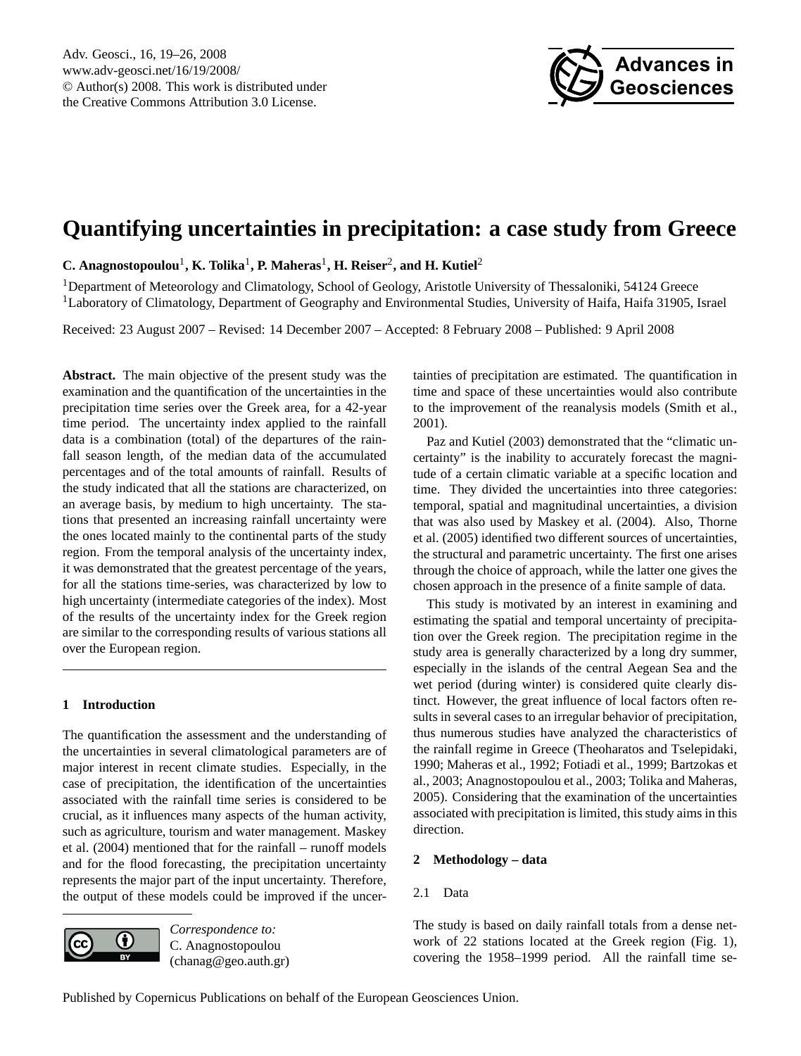

# <span id="page-0-0"></span>**Quantifying uncertainties in precipitation: a case study from Greece**

**C. Anagnostopoulou**<sup>1</sup> **, K. Tolika**<sup>1</sup> **, P. Maheras**<sup>1</sup> **, H. Reiser**<sup>2</sup> **, and H. Kutiel**<sup>2</sup>

<sup>1</sup>Department of Meteorology and Climatology, School of Geology, Aristotle University of Thessaloniki, 54124 Greece <sup>1</sup>Laboratory of Climatology, Department of Geography and Environmental Studies, University of Haifa, Haifa 31905, Israel

Received: 23 August 2007 – Revised: 14 December 2007 – Accepted: 8 February 2008 – Published: 9 April 2008

**Abstract.** The main objective of the present study was the examination and the quantification of the uncertainties in the precipitation time series over the Greek area, for a 42-year time period. The uncertainty index applied to the rainfall data is a combination (total) of the departures of the rainfall season length, of the median data of the accumulated percentages and of the total amounts of rainfall. Results of the study indicated that all the stations are characterized, on an average basis, by medium to high uncertainty. The stations that presented an increasing rainfall uncertainty were the ones located mainly to the continental parts of the study region. From the temporal analysis of the uncertainty index, it was demonstrated that the greatest percentage of the years, for all the stations time-series, was characterized by low to high uncertainty (intermediate categories of the index). Most of the results of the uncertainty index for the Greek region are similar to the corresponding results of various stations all over the European region.

# **1 Introduction**

The quantification the assessment and the understanding of the uncertainties in several climatological parameters are of major interest in recent climate studies. Especially, in the case of precipitation, the identification of the uncertainties associated with the rainfall time series is considered to be crucial, as it influences many aspects of the human activity, such as agriculture, tourism and water management. Maskey et al. (2004) mentioned that for the rainfall – runoff models and for the flood forecasting, the precipitation uncertainty represents the major part of the input uncertainty. Therefore, the output of these models could be improved if the uncer-



*Correspondence to:* C. Anagnostopoulou (chanag@geo.auth.gr) tainties of precipitation are estimated. The quantification in time and space of these uncertainties would also contribute to the improvement of the reanalysis models (Smith et al., 2001).

Paz and Kutiel (2003) demonstrated that the "climatic uncertainty" is the inability to accurately forecast the magnitude of a certain climatic variable at a specific location and time. They divided the uncertainties into three categories: temporal, spatial and magnitudinal uncertainties, a division that was also used by Maskey et al. (2004). Also, Thorne et al. (2005) identified two different sources of uncertainties, the structural and parametric uncertainty. The first one arises through the choice of approach, while the latter one gives the chosen approach in the presence of a finite sample of data.

This study is motivated by an interest in examining and estimating the spatial and temporal uncertainty of precipitation over the Greek region. The precipitation regime in the study area is generally characterized by a long dry summer, especially in the islands of the central Aegean Sea and the wet period (during winter) is considered quite clearly distinct. However, the great influence of local factors often results in several cases to an irregular behavior of precipitation, thus numerous studies have analyzed the characteristics of the rainfall regime in Greece (Theoharatos and Tselepidaki, 1990; Maheras et al., 1992; Fotiadi et al., 1999; Bartzokas et al., 2003; Anagnostopoulou et al., 2003; Tolika and Maheras, 2005). Considering that the examination of the uncertainties associated with precipitation is limited, this study aims in this direction.

## **2 Methodology – data**

## 2.1 Data

The study is based on daily rainfall totals from a dense network of 22 stations located at the Greek region (Fig. 1), covering the 1958–1999 period. All the rainfall time se-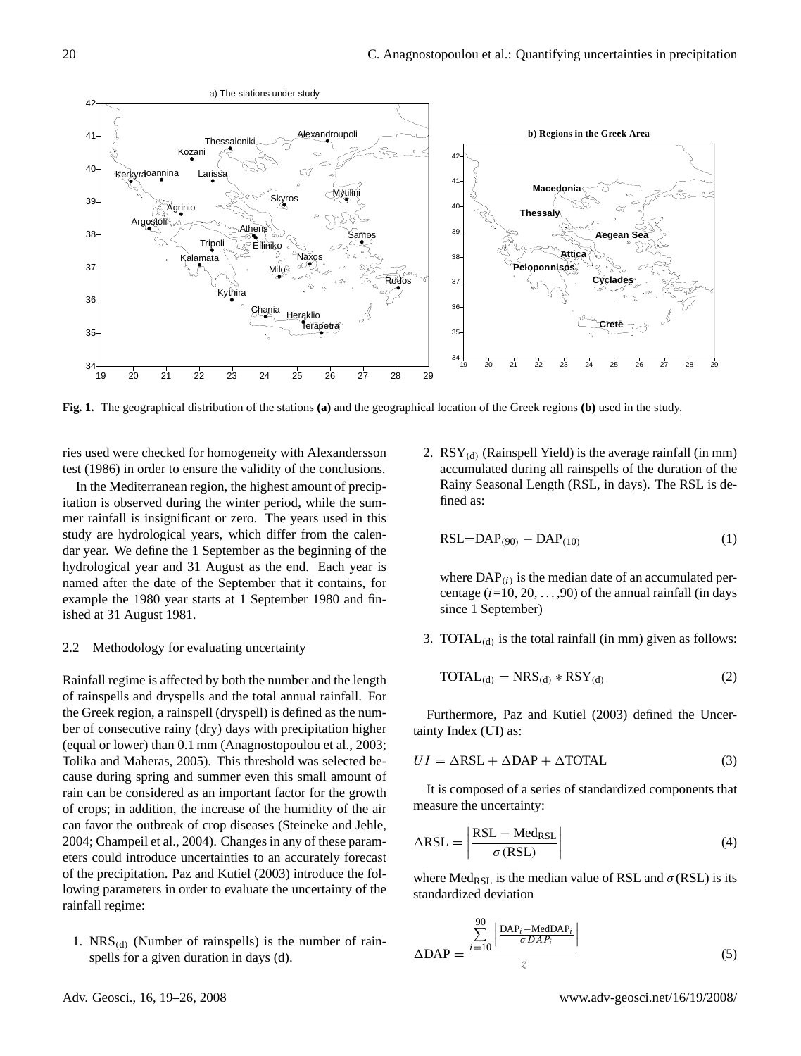

**Fig. 1.** The geographical distribution of the stations **(a)** and the geographical location of the Greek regions **(b)** used in the study.

test (1986) in order to ensure the validity of the conclusions. ries used were checked for homogeneity with Alexandersson

In the Mediterranean region, the highest amount of precipitation is observed during the winter period, while the summer rainfall is insignificant or zero. The years used in this study are hydrological years, which differ from the calendar year. We define the 1 September as the beginning of the hydrological year and 31 August as the end. Each year is named after the date of the September that it contains, for example the 1980 year starts at 1 September 1980 and finished at 31 August 1981.

## 2.2 Methodology for evaluating uncertainty

Rainfall regime is affected by both the number and the length of rainspells and dryspells and the total annual rainfall. For the Greek region, a rainspell (dryspell) is defined as the number of consecutive rainy (dry) days with precipitation higher (equal or lower) than 0.1 mm (Anagnostopoulou et al., 2003; Tolika and Maheras, 2005). This threshold was selected because during spring and summer even this small amount of rain can be considered as an important factor for the growth of crops; in addition, the increase of the humidity of the air can favor the outbreak of crop diseases (Steineke and Jehle, 2004; Champeil et al., 2004). Changes in any of these parameters could introduce uncertainties to an accurately forecast of the precipitation. Paz and Kutiel (2003) introduce the following parameters in order to evaluate the uncertainty of the rainfall regime:

1.  $NRS_{(d)}$  (Number of rainspells) is the number of rainspells for a given duration in days (d).

used were checked for homogeneity with Alexandersson 2.  $RSY_{(d)}$  (Rainspell Yield) is the average rainfall (in mm) accumulated during all rainspells of the duration of the Rainy Seasonal Length (RSL, in days). The RSL is defined as:

$$
RSL = DAP_{(90)} - DAP_{(10)} \tag{1}
$$

where  $\text{DAP}_{(i)}$  is the median date of an accumulated percentage  $(i=10, 20, \ldots, 90)$  of the annual rainfall (in days since 1 September)

3. TOTA $L_{(d)}$  is the total rainfall (in mm) given as follows:

$$
TOTAL_{(d)} = NRS_{(d)} * RSY_{(d)}
$$
 (2)

Furthermore, Paz and Kutiel (2003) defined the Uncertainty Index (UI) as:

$$
UI = \Delta RSL + \Delta DAP + \Delta TOTAL
$$
 (3)

It is composed of a series of standardized components that measure the uncertainty:

$$
\Delta \text{RSL} = \left| \frac{\text{RSL} - \text{Med}_{\text{RSL}}}{\sigma(\text{RSL})} \right| \tag{4}
$$

where Med<sub>RSL</sub> is the median value of RSL and  $\sigma$ (RSL) is its standardized deviation

$$
\Delta \text{DAP} = \frac{\sum_{i=10}^{90} \left| \frac{\text{DAP}_i - \text{MedDAP}_i}{\sigma \, DAP_i} \right|}{z}
$$
(5)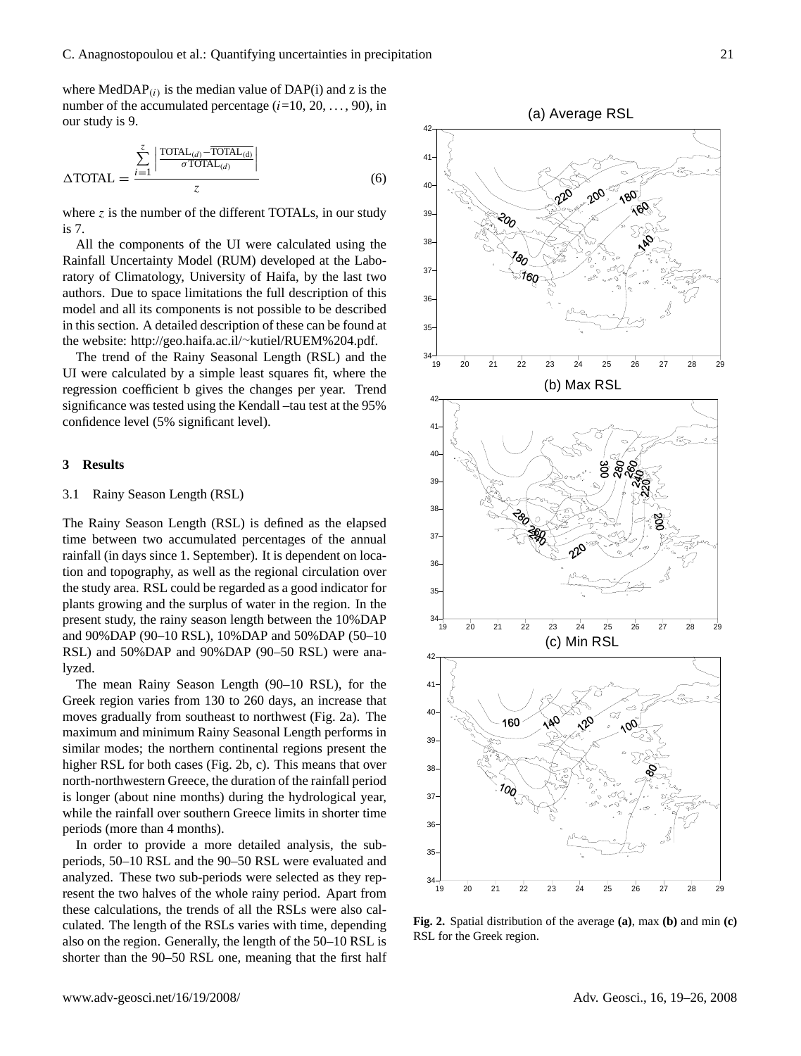where  $MedDAP_{(i)}$  is the median value of  $DAP(i)$  and z is the number of the accumulated percentage  $(i=10, 20, \ldots, 90)$ , in our study is 9.

$$
\Delta \text{TOTAL} = \frac{\sum_{i=1}^{z} \left| \frac{\text{TOTAL}_{(d)} - \overline{\text{TOTAL}_{(d)}}}{\sigma \text{TOTAL}_{(d)}} \right|}{z}
$$
(6)

where  $z$  is the number of the different TOTALs, in our study is 7.

All the components of the UI were calculated using the Rainfall Uncertainty Model (RUM) developed at the Laboratory of Climatology, University of Haifa, by the last two authors. Due to space limitations the full description of this model and all its components is not possible to be described in this section. A detailed description of these can be found at the website: http://geo.haifa.ac.il/∼[kutiel/RUEM%204.pdf.](http://geo.haifa.ac.il/~kutiel/RUEM%204.pdf)

The trend of the Rainy Seasonal Length (RSL) and the UI were calculated by a simple least squares fit, where the regression coefficient b gives the changes per year. Trend significance was tested using the Kendall –tau test at the 95% confidence level (5% significant level).

#### **3 Results**

#### 3.1 Rainy Season Length (RSL)

The Rainy Season Length (RSL) is defined as the elapsed time between two accumulated percentages of the annual rainfall (in days since 1. September). It is dependent on location and topography, as well as the regional circulation over the study area. RSL could be regarded as a good indicator for plants growing and the surplus of water in the region. In the present study, the rainy season length between the 10%DAP and 90%DAP (90–10 RSL), 10%DAP and 50%DAP (50–10 RSL) and 50%DAP and 90%DAP (90–50 RSL) were analyzed.

The mean Rainy Season Length (90–10 RSL), for the Greek region varies from 130 to 260 days, an increase that moves gradually from southeast to northwest (Fig. 2a). The maximum and minimum Rainy Seasonal Length performs in similar modes; the northern continental regions present the higher RSL for both cases (Fig. 2b, c). This means that over north-northwestern Greece, the duration of the rainfall period is longer (about nine months) during the hydrological year, while the rainfall over southern Greece limits in shorter time periods (more than 4 months).

In order to provide a more detailed analysis, the subperiods, 50–10 RSL and the 90–50 RSL were evaluated and analyzed. These two sub-periods were selected as they represent the two halves of the whole rainy period. Apart from these calculations, the trends of all the RSLs were also calculated. The length of the RSLs varies with time, depending also on the region. Generally, the length of the 50–10 RSL is shorter than the 90–50 RSL one, meaning that the first half



19 20 21 22 23 24 25 26 27 28 29 34 RSL for the Greek region.  $F_1$  and  $F_2$  and  $F_3$  are  $F_4$  for the Greek region. depending **Fig. 2.** Spatial distribution of the average **(a)**, max **(b)** and min **(c)**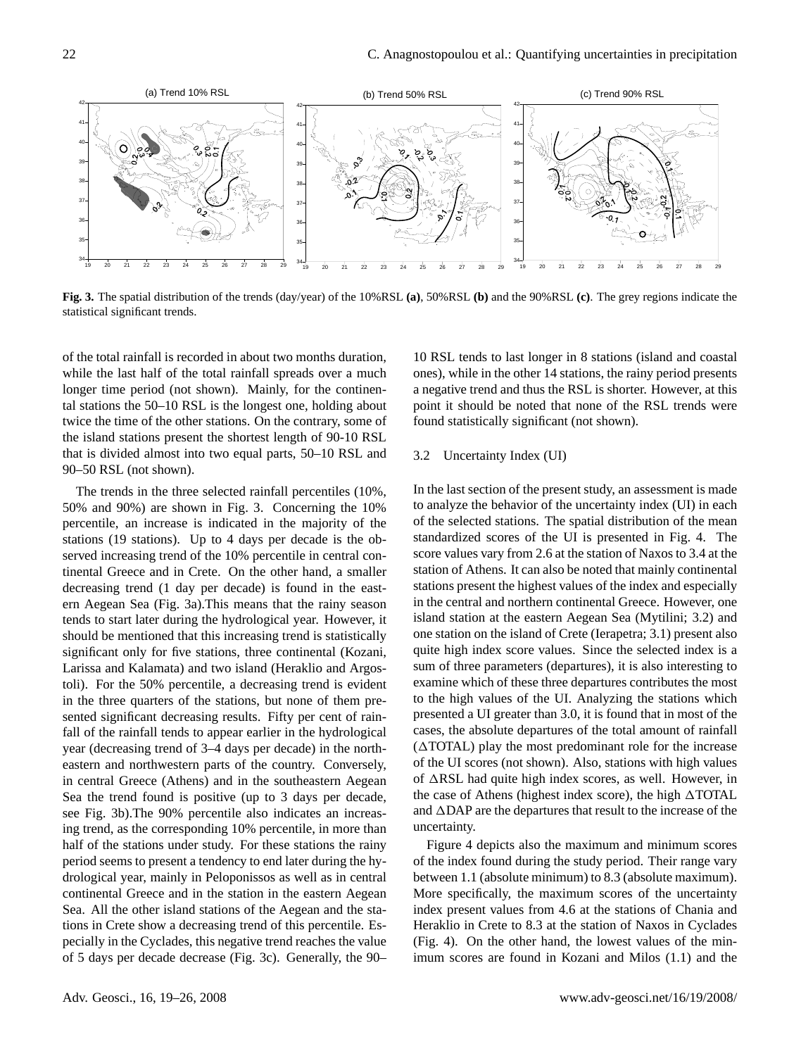

statistical significant trends. **Fig. 3.** The spatial distribution of the trends (day/year) of the 10%RSL **(a)**, 50%RSL **(b)** and the 90%RSL **(c)**. The grey regions indicate the

of the total rainfall is recorded in about two months duration, while the last half of the total rainfall spreads over a much longer time period (not shown). Mainly, for the continental stations the 50–10 RSL is the longest one, holding about twice the time of the other stations. On the contrary, some of the island stations present the shortest length of 90-10 RSL that is divided almost into two equal parts, 50–10 RSL and 90–50 RSL (not shown).

The trends in the three selected rainfall percentiles (10%, 50% and 90%) are shown in Fig. 3. Concerning the 10% percentile, an increase is indicated in the majority of the stations (19 stations). Up to 4 days per decade is the observed increasing trend of the 10% percentile in central continental Greece and in Crete. On the other hand, a smaller decreasing trend (1 day per decade) is found in the eastern Aegean Sea (Fig. 3a).This means that the rainy season tends to start later during the hydrological year. However, it should be mentioned that this increasing trend is statistically significant only for five stations, three continental (Kozani, Larissa and Kalamata) and two island (Heraklio and Argostoli). For the 50% percentile, a decreasing trend is evident in the three quarters of the stations, but none of them presented significant decreasing results. Fifty per cent of rainfall of the rainfall tends to appear earlier in the hydrological year (decreasing trend of 3–4 days per decade) in the northeastern and northwestern parts of the country. Conversely, in central Greece (Athens) and in the southeastern Aegean Sea the trend found is positive (up to 3 days per decade, see Fig. 3b).The 90% percentile also indicates an increasing trend, as the corresponding 10% percentile, in more than half of the stations under study. For these stations the rainy period seems to present a tendency to end later during the hydrological year, mainly in Peloponissos as well as in central continental Greece and in the station in the eastern Aegean Sea. All the other island stations of the Aegean and the stations in Crete show a decreasing trend of this percentile. Especially in the Cyclades, this negative trend reaches the value of 5 days per decade decrease (Fig. 3c). Generally, the 90–

10 RSL tends to last longer in 8 stations (island and coastal ones), while in the other 14 stations, the rainy period presents a negative trend and thus the RSL is shorter. However, at this point it should be noted that none of the RSL trends were found statistically significant (not shown).

#### 3.2 Uncertainty Index (UI)

to analyze the behavior of the uncertainty index (UI) in each In the last section of the present study, an assessment is made of the selected stations. The spatial distribution of the mean standardized scores of the UI is presented in Fig. 4. The score values vary from 2.6 at the station of Naxos to 3.4 at the station of Athens. It can also be noted that mainly continental stations present the highest values of the index and especially in the central and northern continental Greece. However, one island station at the eastern Aegean Sea (Mytilini; 3.2) and one station on the island of Crete (Ierapetra; 3.1) present also quite high index score values. Since the selected index is a sum of three parameters (departures), it is also interesting to examine which of these three departures contributes the most to the high values of the UI. Analyzing the stations which presented a UI greater than 3.0, it is found that in most of the cases, the absolute departures of the total amount of rainfall  $(\Delta TOTAL)$  play the most predominant role for the increase of the UI scores (not shown). Also, stations with high values of  $\triangle$ RSL had quite high index scores, as well. However, in the case of Athens (highest index score), the high  $\triangle$ TOTAL and  $\triangle$ DAP are the departures that result to the increase of the uncertainty.

Figure 4 depicts also the maximum and minimum scores of the index found during the study period. Their range vary between 1.1 (absolute minimum) to 8.3 (absolute maximum). More specifically, the maximum scores of the uncertainty index present values from 4.6 at the stations of Chania and Heraklio in Crete to 8.3 at the station of Naxos in Cyclades (Fig. 4). On the other hand, the lowest values of the minimum scores are found in Kozani and Milos (1.1) and the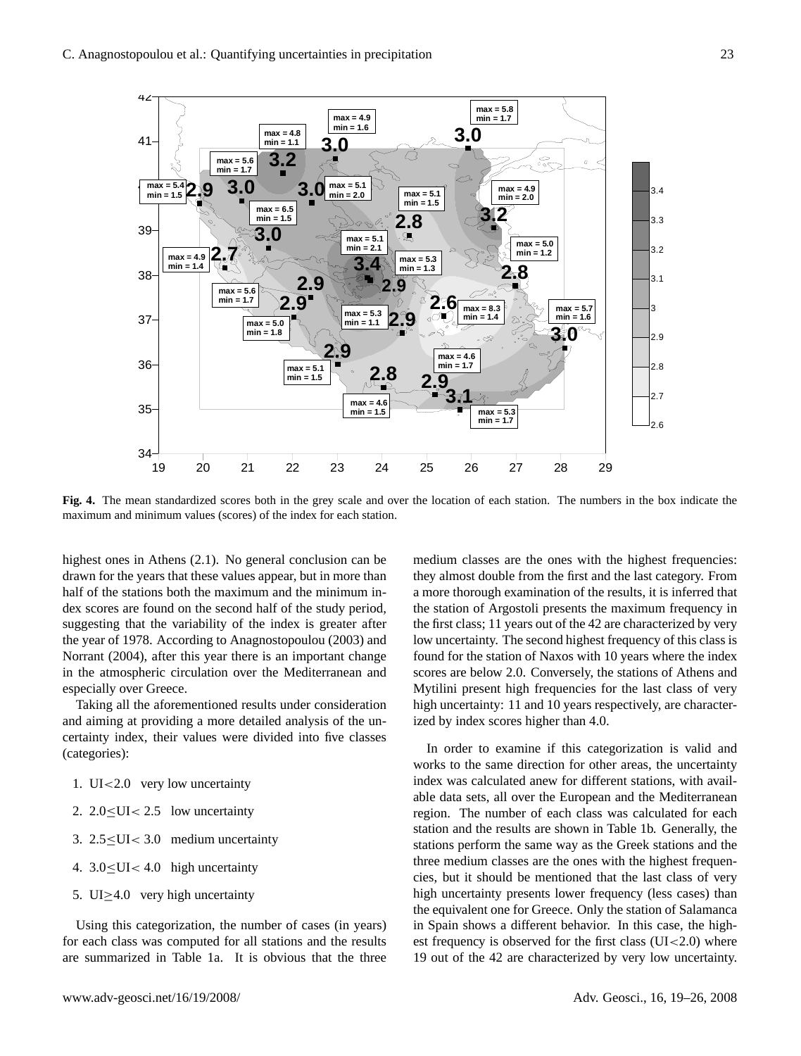

Fig. 4. The mean standardized scores both in the grey scale and over the location of each station. The nameles in the box in maximum and minimum values (scores) of the index for each station. each station. The numbers in the box indicate the maximum and minimum values **Fig. 4.** The mean standardized scores both in the grey scale and over the location of each station. The numbers in the box indicate the

highest ones in Athens (2.1). No general conclusion can be drawn for the years that these values appear, but in more than half of the stations both the maximum and the minimum index scores are found on the second half of the study period, suggesting that the variability of the index is greater after the year of 1978. According to Anagnostopoulou (2003) and Norrant (2004), after this year there is an important change in the atmospheric circulation over the Mediterranean and especially over Greece.

Taking all the aforementioned results under consideration and aiming at providing a more detailed analysis of the uncertainty index, their values were divided into five classes (categories):

- 1. UI<2.0 very low uncertainty
- 2.  $2.0 \leq U < 2.5$  low uncertainty
- 3. 2.5≤UI< 3.0 medium uncertainty
- 4. 3.0≤UI< 4.0 high uncertainty
- 5. UI≥4.0 very high uncertainty

Using this categorization, the number of cases (in years) for each class was computed for all stations and the results are summarized in Table 1a. It is obvious that the three medium classes are the ones with the highest frequencies: they almost double from the first and the last category. From a more thorough examination of the results, it is inferred that the station of Argostoli presents the maximum frequency in the first class; 11 years out of the 42 are characterized by very low uncertainty. The second highest frequency of this class is found for the station of Naxos with 10 years where the index scores are below 2.0. Conversely, the stations of Athens and Mytilini present high frequencies for the last class of very high uncertainty: 11 and 10 years respectively, are characterized by index scores higher than 4.0.

In order to examine if this categorization is valid and works to the same direction for other areas, the uncertainty index was calculated anew for different stations, with available data sets, all over the European and the Mediterranean region. The number of each class was calculated for each station and the results are shown in Table 1b. Generally, the stations perform the same way as the Greek stations and the three medium classes are the ones with the highest frequencies, but it should be mentioned that the last class of very high uncertainty presents lower frequency (less cases) than the equivalent one for Greece. Only the station of Salamanca in Spain shows a different behavior. In this case, the highest frequency is observed for the first class  $(UI < 2.0)$  where 19 out of the 42 are characterized by very low uncertainty.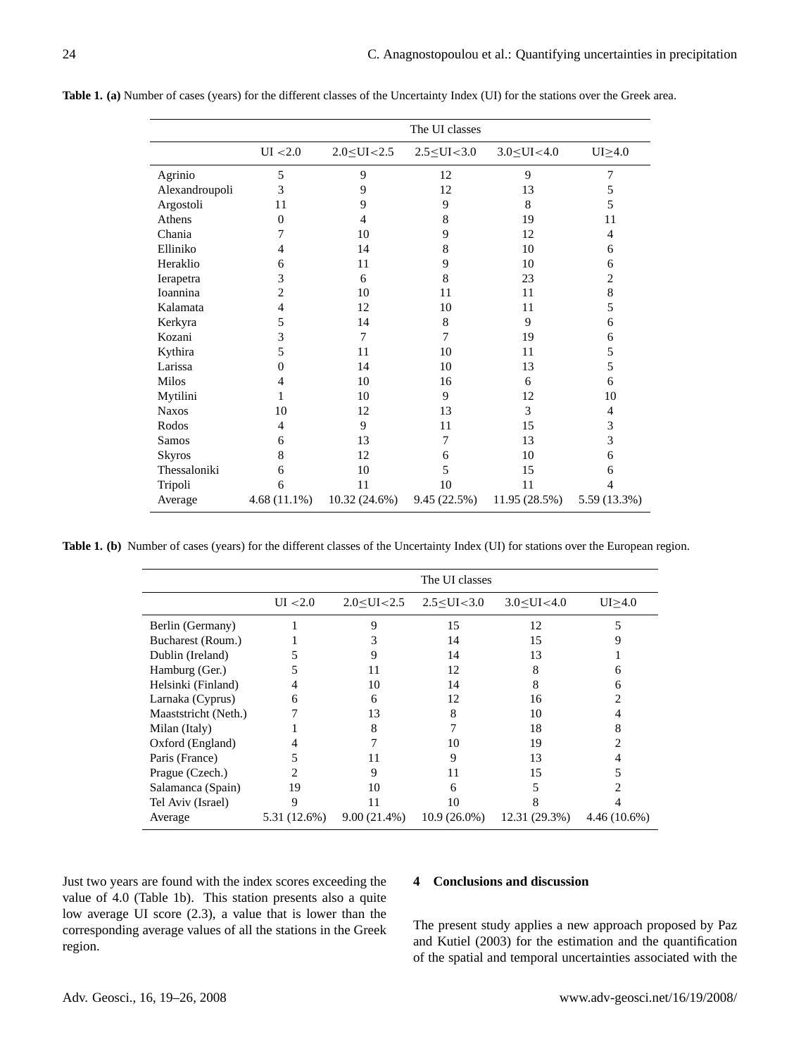|                | The UI classes |                     |                     |                     |                |  |  |
|----------------|----------------|---------------------|---------------------|---------------------|----------------|--|--|
|                | UI < 2.0       | $2.0 \leq UI < 2.5$ | $2.5 \leq UI < 3.0$ | $3.0 \le U I < 4.0$ | $UI \geq 4.0$  |  |  |
| Agrinio        | 5              | 9                   | 12                  | 9                   | 7              |  |  |
| Alexandroupoli | 3              | 9                   | 12                  | 13                  | 5              |  |  |
| Argostoli      | 11             | 9                   | 9                   | 8                   | 5              |  |  |
| Athens         | $\Omega$       | 4                   | 8                   | 19                  | 11             |  |  |
| Chania         | 7              | 10                  | 9                   | 12                  | 4              |  |  |
| Elliniko       | 4              | 14                  | 8                   | 10                  | 6              |  |  |
| Heraklio       | 6              | 11                  | 9                   | 10                  | 6              |  |  |
| Ierapetra      | 3              | 6                   | 8                   | 23                  | 2              |  |  |
| Ioannina       | 2              | 10                  | 11                  | 11                  | 8              |  |  |
| Kalamata       | 4              | 12                  | 10                  | 11                  | 5              |  |  |
| Kerkyra        | 5              | 14                  | 8                   | 9                   | 6              |  |  |
| Kozani         | 3              | 7                   | 7                   | 19                  | 6              |  |  |
| Kythira        | 5              | 11                  | 10                  | 11                  | 5              |  |  |
| Larissa        | 0              | 14                  | 10                  | 13                  | 5              |  |  |
| Milos          | 4              | 10                  | 16                  | 6                   | 6              |  |  |
| Mytilini       |                | 10                  | 9                   | 12                  | 10             |  |  |
| <b>Naxos</b>   | 10             | 12                  | 13                  | 3                   | $\overline{4}$ |  |  |
| Rodos          | 4              | 9                   | 11                  | 15                  | 3              |  |  |
| Samos          | 6              | 13                  | 7                   | 13                  | 3              |  |  |
| <b>Skyros</b>  | 8              | 12                  | 6                   | 10                  | 6              |  |  |
| Thessaloniki   | 6              | 10                  | 5                   | 15                  | 6              |  |  |
| Tripoli        | 6              | 11                  | 10                  | 11                  | 4              |  |  |
| Average        | $4.68(11.1\%)$ | 10.32 (24.6%)       | 9.45 (22.5%)        | 11.95 (28.5%)       | 5.59 (13.3%)   |  |  |

**Table 1. (a)** Number of cases (years) for the different classes of the Uncertainty Index (UI) for the stations over the Greek area.

|  |  |  |  |  | Table 1. (b) Number of cases (years) for the different classes of the Uncertainty Index (UI) for stations over the European region. |  |
|--|--|--|--|--|-------------------------------------------------------------------------------------------------------------------------------------|--|
|--|--|--|--|--|-------------------------------------------------------------------------------------------------------------------------------------|--|

|                      | The UI classes |                |                |                |                |  |  |
|----------------------|----------------|----------------|----------------|----------------|----------------|--|--|
|                      | UI < 2.0       | 2.0< UI < 2.5  | 2.5 < UI < 3.0 | 3.0 < UI < 4.0 | UI>4.0         |  |  |
| Berlin (Germany)     |                | 9              | 15             | 12             |                |  |  |
| Bucharest (Roum.)    |                |                | 14             | 15             | 9              |  |  |
| Dublin (Ireland)     |                | 9              | 14             | 13             |                |  |  |
| Hamburg (Ger.)       |                | 11             | 12             | 8              | h              |  |  |
| Helsinki (Finland)   |                | 10             | 14             | 8              | 6              |  |  |
| Larnaka (Cyprus)     | 6              | 6              | 12             | 16             |                |  |  |
| Maaststricht (Neth.) |                | 13             | 8              | 10             |                |  |  |
| Milan (Italy)        |                | 8              |                | 18             | 8              |  |  |
| Oxford (England)     |                |                | 10             | 19             | 2              |  |  |
| Paris (France)       |                | 11             | 9              | 13             |                |  |  |
| Prague (Czech.)      |                | 9              | 11             | 15             |                |  |  |
| Salamanca (Spain)    | 19             | 10             | 6              |                |                |  |  |
| Tel Aviv (Israel)    | 9              | 11             | 10             |                |                |  |  |
| Average              | 5.31 (12.6%)   | $9.00(21.4\%)$ | $10.9(26.0\%)$ | 12.31 (29.3%)  | $4.46(10.6\%)$ |  |  |

Just two years are found with the index scores exceeding the value of 4.0 (Table 1b). This station presents also a quite low average UI score (2.3), a value that is lower than the corresponding average values of all the stations in the Greek region.

## **4 Conclusions and discussion**

The present study applies a new approach proposed by Paz and Kutiel (2003) for the estimation and the quantification of the spatial and temporal uncertainties associated with the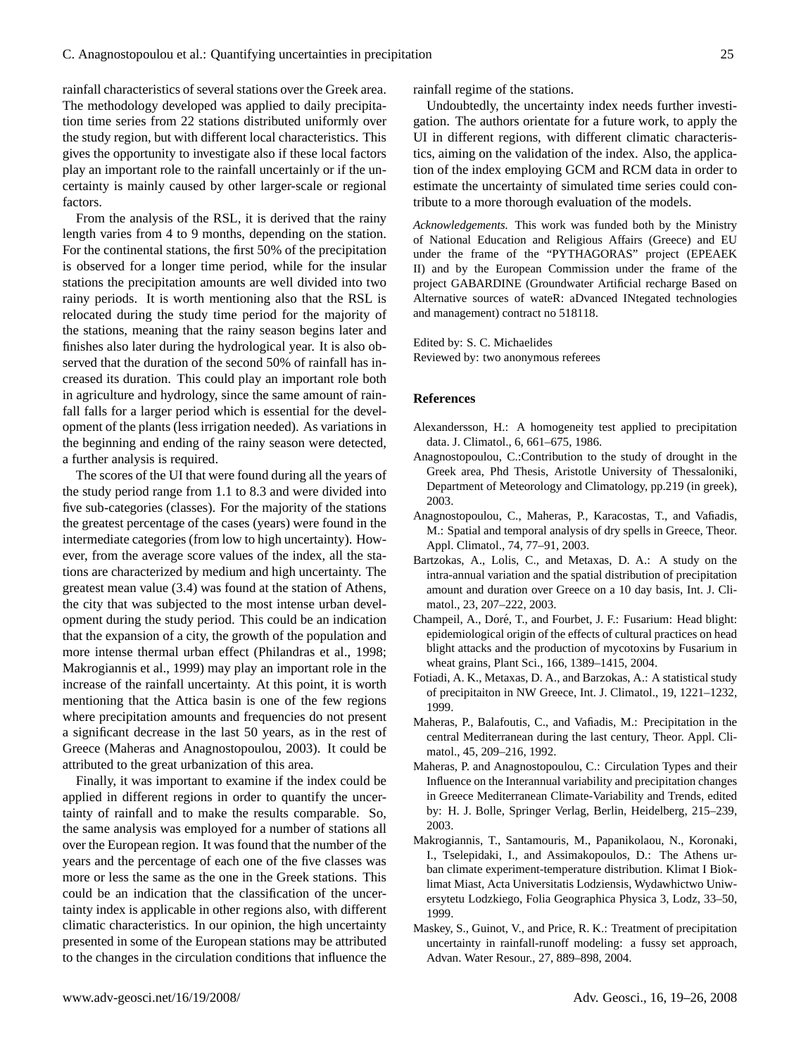rainfall characteristics of several stations over the Greek area. The methodology developed was applied to daily precipitation time series from 22 stations distributed uniformly over the study region, but with different local characteristics. This gives the opportunity to investigate also if these local factors play an important role to the rainfall uncertainly or if the uncertainty is mainly caused by other larger-scale or regional factors.

From the analysis of the RSL, it is derived that the rainy length varies from 4 to 9 months, depending on the station. For the continental stations, the first 50% of the precipitation is observed for a longer time period, while for the insular stations the precipitation amounts are well divided into two rainy periods. It is worth mentioning also that the RSL is relocated during the study time period for the majority of the stations, meaning that the rainy season begins later and finishes also later during the hydrological year. It is also observed that the duration of the second 50% of rainfall has increased its duration. This could play an important role both in agriculture and hydrology, since the same amount of rainfall falls for a larger period which is essential for the development of the plants (less irrigation needed). As variations in the beginning and ending of the rainy season were detected, a further analysis is required.

The scores of the UI that were found during all the years of the study period range from 1.1 to 8.3 and were divided into five sub-categories (classes). For the majority of the stations the greatest percentage of the cases (years) were found in the intermediate categories (from low to high uncertainty). However, from the average score values of the index, all the stations are characterized by medium and high uncertainty. The greatest mean value (3.4) was found at the station of Athens, the city that was subjected to the most intense urban development during the study period. This could be an indication that the expansion of a city, the growth of the population and more intense thermal urban effect (Philandras et al., 1998; Makrogiannis et al., 1999) may play an important role in the increase of the rainfall uncertainty. At this point, it is worth mentioning that the Attica basin is one of the few regions where precipitation amounts and frequencies do not present a significant decrease in the last 50 years, as in the rest of Greece (Maheras and Anagnostopoulou, 2003). It could be attributed to the great urbanization of this area.

Finally, it was important to examine if the index could be applied in different regions in order to quantify the uncertainty of rainfall and to make the results comparable. So, the same analysis was employed for a number of stations all over the European region. It was found that the number of the years and the percentage of each one of the five classes was more or less the same as the one in the Greek stations. This could be an indication that the classification of the uncertainty index is applicable in other regions also, with different climatic characteristics. In our opinion, the high uncertainty presented in some of the European stations may be attributed to the changes in the circulation conditions that influence the rainfall regime of the stations.

Undoubtedly, the uncertainty index needs further investigation. The authors orientate for a future work, to apply the UI in different regions, with different climatic characteristics, aiming on the validation of the index. Also, the application of the index employing GCM and RCM data in order to estimate the uncertainty of simulated time series could contribute to a more thorough evaluation of the models.

*Acknowledgements.* This work was funded both by the Ministry of National Education and Religious Affairs (Greece) and EU under the frame of the "PYTHAGORAS" project (EPEAEK II) and by the European Commission under the frame of the project GABARDINE (Groundwater Artificial recharge Based on Alternative sources of wateR: aDvanced INtegated technologies and management) contract no 518118.

Edited by: S. C. Michaelides Reviewed by: two anonymous referees

### **References**

- Alexandersson, H.: A homogeneity test applied to precipitation data. J. Climatol., 6, 661–675, 1986.
- Anagnostopoulou, C.:Contribution to the study of drought in the Greek area, Phd Thesis, Aristotle University of Thessaloniki, Department of Meteorology and Climatology, pp.219 (in greek), 2003.
- Anagnostopoulou, C., Maheras, P., Karacostas, T., and Vafiadis, M.: Spatial and temporal analysis of dry spells in Greece, Theor. Appl. Climatol., 74, 77–91, 2003.
- Bartzokas, A., Lolis, C., and Metaxas, D. A.: A study on the intra-annual variation and the spatial distribution of precipitation amount and duration over Greece on a 10 day basis, Int. J. Climatol., 23, 207–222, 2003.
- Champeil, A., Doré, T., and Fourbet, J. F.: Fusarium: Head blight: epidemiological origin of the effects of cultural practices on head blight attacks and the production of mycotoxins by Fusarium in wheat grains, Plant Sci., 166, 1389–1415, 2004.
- Fotiadi, A. K., Metaxas, D. A., and Barzokas, A.: A statistical study of precipitaiton in NW Greece, Int. J. Climatol., 19, 1221–1232, 1999.
- Maheras, P., Balafoutis, C., and Vafiadis, M.: Precipitation in the central Mediterranean during the last century, Theor. Appl. Climatol., 45, 209–216, 1992.
- Maheras, P. and Anagnostopoulou, C.: Circulation Types and their Influence on the Interannual variability and precipitation changes in Greece Mediterranean Climate-Variability and Trends, edited by: H. J. Bolle, Springer Verlag, Berlin, Heidelberg, 215–239, 2003.
- Makrogiannis, T., Santamouris, M., Papanikolaou, N., Koronaki, I., Tselepidaki, I., and Assimakopoulos, D.: The Athens urban climate experiment-temperature distribution. Klimat I Bioklimat Miast, Acta Universitatis Lodziensis, Wydawhictwo Uniwersytetu Lodzkiego, Folia Geographica Physica 3, Lodz, 33–50, 1999.
- Maskey, S., Guinot, V., and Price, R. K.: Treatment of precipitation uncertainty in rainfall-runoff modeling: a fussy set approach, Advan. Water Resour., 27, 889–898, 2004.